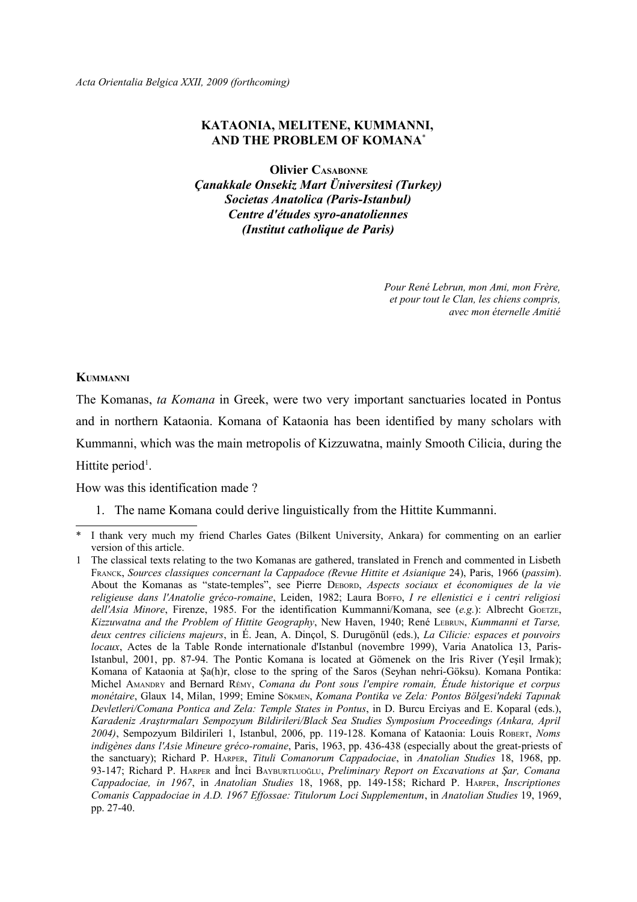# **KATAONIA, MELITENE, KUMMANNI, AND THE PROBLEM OF KOMANA**[\\*](#page-0-0)

**Olivier CASABONNE** *Çanakkale Onsekiz Mart Üniversitesi (Turkey) Societas Anatolica (Paris-Istanbul) Centre d'études syro-anatoliennes (Institut catholique de Paris)*

> *Pour René Lebrun, mon Ami, mon Frère, et pour tout le Clan, les chiens compris, avec mon éternelle Amitié*

#### **KUMMANNI**

The Komanas, *ta Komana* in Greek, were two very important sanctuaries located in Pontus and in northern Kataonia. Komana of Kataonia has been identified by many scholars with Kummanni, which was the main metropolis of Kizzuwatna, mainly Smooth Cilicia, during the Hittite period<sup>[1](#page-0-1)</sup>.

How was this identification made ?

1. The name Komana could derive linguistically from the Hittite Kummanni.

<span id="page-0-0"></span>I thank very much my friend Charles Gates (Bilkent University, Ankara) for commenting on an earlier version of this article.

<span id="page-0-1"></span><sup>1</sup> The classical texts relating to the two Komanas are gathered, translated in French and commented in Lisbeth FRANCK, *Sources classiques concernant la Cappadoce (Revue Hittite et Asianique* 24), Paris, 1966 (*passim*). About the Komanas as "state-temples", see Pierre DEBORD, *Aspects sociaux et économiques de la vie religieuse dans l'Anatolie gréco-romaine*, Leiden, 1982; Laura BOFFO, *I re ellenistici e i centri religiosi dell'Asia Minore*, Firenze, 1985. For the identification Kummanni/Komana, see (*e.g.*): Albrecht GOETZE, *Kizzuwatna and the Problem of Hittite Geography*, New Haven, 1940; René LEBRUN, *Kummanni et Tarse, deux centres ciliciens majeurs*, in É. Jean, A. Dinçol, S. Durugönül (eds.), *La Cilicie: espaces et pouvoirs locaux*, Actes de la Table Ronde internationale d'Istanbul (novembre 1999), Varia Anatolica 13, Paris-Istanbul, 2001, pp. 87-94. The Pontic Komana is located at Gömenek on the Iris River (Yeşil Irmak); Komana of Kataonia at Şa(h)r, close to the spring of the Saros (Seyhan nehri-Göksu). Komana Pontika: Michel AMANDRY and Bernard RÉMY, *Comana du Pont sous l'empire romain, Étude historique et corpus monétaire*, Glaux 14, Milan, 1999; Emine SÖKMEN, *Komana Pontika ve Zela: Pontos Bölgesi'ndeki Tapınak Devletleri/Comana Pontica and Zela: Temple States in Pontus*, in D. Burcu Erciyas and E. Koparal (eds.), *Karadeniz Araştırmaları Sempozyum Bildirileri/Black Sea Studies Symposium Proceedings (Ankara, April 2004)*, Sempozyum Bildirileri 1, Istanbul, 2006, pp. 119-128. Komana of Kataonia: Louis ROBERT, *Noms indigènes dans l'Asie Mineure gréco-romaine*, Paris, 1963, pp. 436-438 (especially about the great-priests of the sanctuary); Richard P. HARPER, *Tituli Comanorum Cappadociae*, in *Anatolian Studies* 18, 1968, pp. 93-147; Richard P. HARPER and İnci BAYBURTLUOĞLU, *Preliminary Report on Excavations at Şar, Comana Cappadociae, in 1967*, in *Anatolian Studies* 18, 1968, pp. 149-158; Richard P. HARPER, *Inscriptiones Comanis Cappadociae in A.D. 1967 Effossae: Titulorum Loci Supplementum*, in *Anatolian Studies* 19, 1969, pp. 27-40.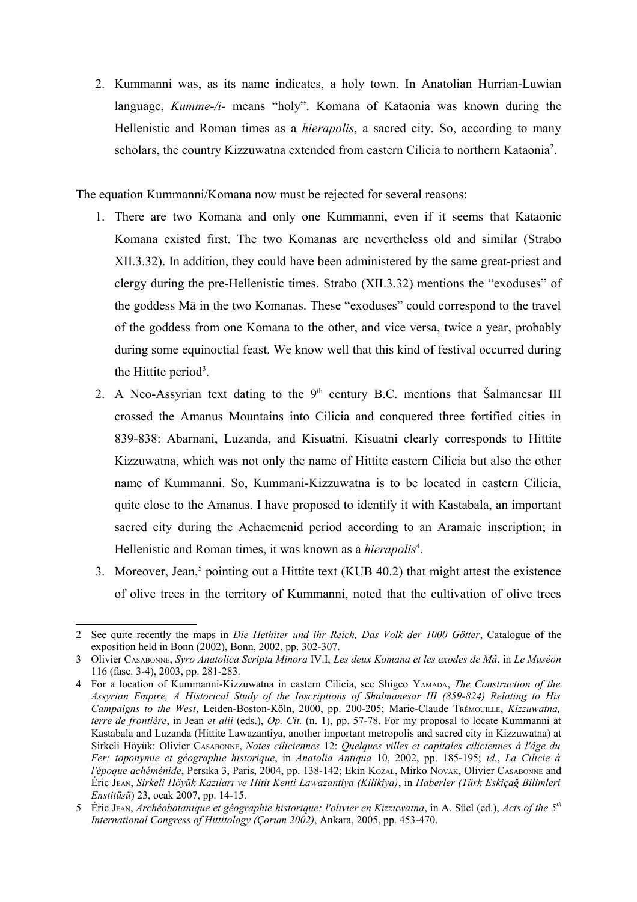2. Kummanni was, as its name indicates, a holy town. In Anatolian Hurrian-Luwian language, *Kumme-/i-* means "holy". Komana of Kataonia was known during the Hellenistic and Roman times as a *hierapolis*, a sacred city. So, according to many scholars, the country Kizzuwatna extended from eastern Cilicia to northern Kataonia<sup>[2](#page-1-0)</sup>.

The equation Kummanni/Komana now must be rejected for several reasons:

- 1. There are two Komana and only one Kummanni, even if it seems that Kataonic Komana existed first. The two Komanas are nevertheless old and similar (Strabo XII.3.32). In addition, they could have been administered by the same great-priest and clergy during the pre-Hellenistic times. Strabo (XII.3.32) mentions the "exoduses" of the goddess Mā in the two Komanas. These "exoduses" could correspond to the travel of the goddess from one Komana to the other, and vice versa, twice a year, probably during some equinoctial feast. We know well that this kind of festival occurred during the Hittite period<sup>[3](#page-1-1)</sup>.
- 2. A Neo-Assyrian text dating to the  $9<sup>th</sup>$  century B.C. mentions that Šalmanesar III crossed the Amanus Mountains into Cilicia and conquered three fortified cities in 839-838: Abarnani, Luzanda, and Kisuatni. Kisuatni clearly corresponds to Hittite Kizzuwatna, which was not only the name of Hittite eastern Cilicia but also the other name of Kummanni. So, Kummani-Kizzuwatna is to be located in eastern Cilicia, quite close to the Amanus. I have proposed to identify it with Kastabala, an important sacred city during the Achaemenid period according to an Aramaic inscription; in Hellenistic and Roman times, it was known as a *hierapolis<sup>[4](#page-1-2)</sup>*.
- 3. Moreover, Jean,<sup>[5](#page-1-3)</sup> pointing out a Hittite text (KUB 40.2) that might attest the existence of olive trees in the territory of Kummanni, noted that the cultivation of olive trees

<span id="page-1-0"></span><sup>2</sup> See quite recently the maps in *Die Hethiter und ihr Reich, Das Volk der 1000 Götter*, Catalogue of the exposition held in Bonn (2002), Bonn, 2002, pp. 302-307.

<span id="page-1-1"></span><sup>3</sup> Olivier CASABONNE, *Syro Anatolica Scripta Minora* IV.I, *Les deux Komana et les exodes de Mâ*, in *Le Muséon* 116 (fasc. 3-4), 2003, pp. 281-283.

<span id="page-1-2"></span><sup>4</sup> For a location of Kummanni-Kizzuwatna in eastern Cilicia, see Shigeo YAMADA, *The Construction of the Assyrian Empire, A Historical Study of the Inscriptions of Shalmanesar III (859-824) Relating to His Campaigns to the West*, Leiden-Boston-Köln, 2000, pp. 200-205; Marie-Claude TRÉMOUILLE, *Kizzuwatna, terre de frontière*, in Jean *et alii* (eds.), *Op. Cit.* (n. 1), pp. 57-78. For my proposal to locate Kummanni at Kastabala and Luzanda (Hittite Lawazantiya, another important metropolis and sacred city in Kizzuwatna) at Sirkeli Höyük: Olivier CASABONNE, *Notes ciliciennes* 12: *Quelques villes et capitales ciliciennes à l'âge du Fer: toponymie et géographie historique*, in *Anatolia Antiqua* 10, 2002, pp. 185-195; *id.*, *La Cilicie à l'époque achéménide*, Persika 3, Paris, 2004, pp. 138-142; Ekin KOZAL, Mirko NOVAK, Olivier CASABONNE and Éric JEAN, *Sirkeli Höyük Kazıları ve Hitit Kenti Lawazantiya (Kilikiya)*, in *Haberler (Türk Eskiçağ Bilimleri Enstitüsü*) 23, ocak 2007, pp. 14-15.

<span id="page-1-3"></span><sup>5</sup> Éric JEAN, *Archéobotanique et géographie historique: l'olivier en Kizzuwatna*, in A. Süel (ed.), *Acts of the 5th International Congress of Hittitology (Çorum 2002)*, Ankara, 2005, pp. 453-470.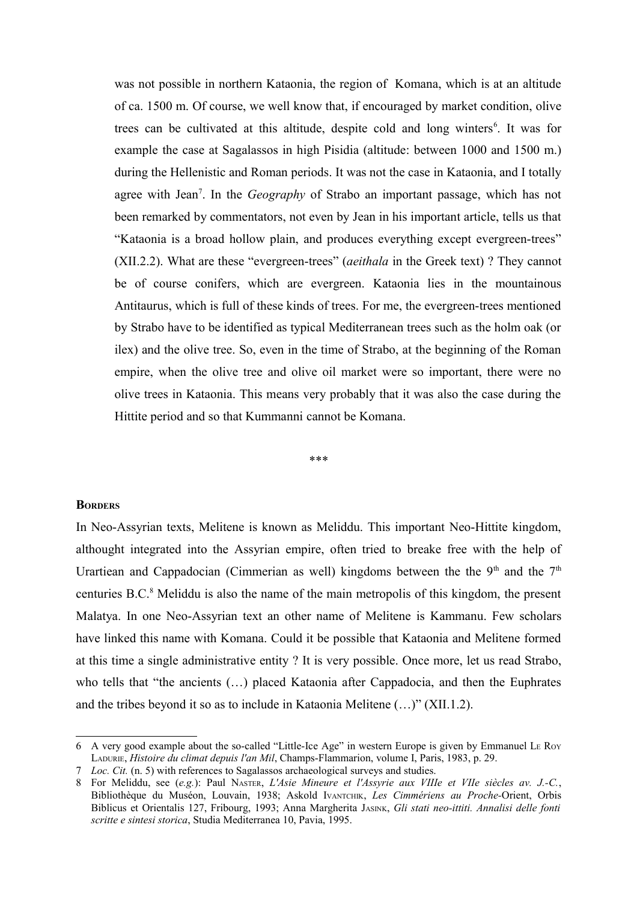was not possible in northern Kataonia, the region of Komana, which is at an altitude of ca. 1500 m. Of course, we well know that, if encouraged by market condition, olive trees can be cultivated at this altitude, despite cold and long winters<sup>[6](#page-2-0)</sup>. It was for example the case at Sagalassos in high Pisidia (altitude: between 1000 and 1500 m.) during the Hellenistic and Roman periods. It was not the case in Kataonia, and I totally agree with Jean<sup>[7](#page-2-1)</sup>. In the *Geography* of Strabo an important passage, which has not been remarked by commentators, not even by Jean in his important article, tells us that "Kataonia is a broad hollow plain, and produces everything except evergreen-trees" (XII.2.2). What are these "evergreen-trees" (*aeithala* in the Greek text) ? They cannot be of course conifers, which are evergreen. Kataonia lies in the mountainous Antitaurus, which is full of these kinds of trees. For me, the evergreen-trees mentioned by Strabo have to be identified as typical Mediterranean trees such as the holm oak (or ilex) and the olive tree. So, even in the time of Strabo, at the beginning of the Roman empire, when the olive tree and olive oil market were so important, there were no olive trees in Kataonia. This means very probably that it was also the case during the Hittite period and so that Kummanni cannot be Komana.

\*\*\*

### **BORDERS**

In Neo-Assyrian texts, Melitene is known as Meliddu. This important Neo-Hittite kingdom, althought integrated into the Assyrian empire, often tried to breake free with the help of Urartiean and Cappadocian (Cimmerian as well) kingdoms between the the 9<sup>th</sup> and the 7<sup>th</sup> centuries B.C.<sup>[8](#page-2-2)</sup> Meliddu is also the name of the main metropolis of this kingdom, the present Malatya. In one Neo-Assyrian text an other name of Melitene is Kammanu. Few scholars have linked this name with Komana. Could it be possible that Kataonia and Melitene formed at this time a single administrative entity ? It is very possible. Once more, let us read Strabo, who tells that "the ancients (…) placed Kataonia after Cappadocia, and then the Euphrates and the tribes beyond it so as to include in Kataonia Melitene (…)" (XII.1.2).

<span id="page-2-0"></span><sup>6</sup> A very good example about the so-called "Little-Ice Age" in western Europe is given by Emmanuel LE ROY LADURIE, *Histoire du climat depuis l'an Mil*, Champs-Flammarion, volume I, Paris, 1983, p. 29.

<span id="page-2-1"></span><sup>7</sup> *Loc. Cit.* (n. 5) with references to Sagalassos archaeological surveys and studies.

<span id="page-2-2"></span><sup>8</sup> For Meliddu, see (*e.g.*): Paul NASTER, *L'Asie Mineure et l'Assyrie aux VIIIe et VIIe siècles av. J.-C.*, Bibliothèque du Muséon, Louvain, 1938; Askold IVANTCHIK, *Les Cimmériens au Proche-*Orient, Orbis Biblicus et Orientalis 127, Fribourg, 1993; Anna Margherita JASINK, *Gli stati neo-ittiti. Annalisi delle fonti scritte e sintesi storica*, Studia Mediterranea 10, Pavia, 1995.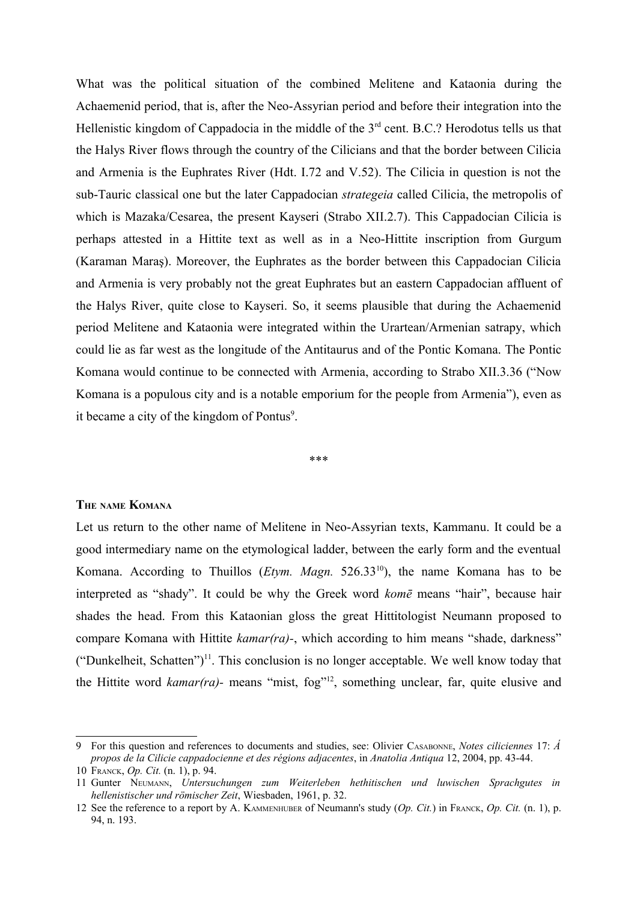What was the political situation of the combined Melitene and Kataonia during the Achaemenid period, that is, after the Neo-Assyrian period and before their integration into the Hellenistic kingdom of Cappadocia in the middle of the 3<sup>rd</sup> cent. B.C.? Herodotus tells us that the Halys River flows through the country of the Cilicians and that the border between Cilicia and Armenia is the Euphrates River (Hdt. I.72 and V.52). The Cilicia in question is not the sub-Tauric classical one but the later Cappadocian *strategeia* called Cilicia, the metropolis of which is Mazaka/Cesarea, the present Kayseri (Strabo XII.2.7). This Cappadocian Cilicia is perhaps attested in a Hittite text as well as in a Neo-Hittite inscription from Gurgum (Karaman Maraş). Moreover, the Euphrates as the border between this Cappadocian Cilicia and Armenia is very probably not the great Euphrates but an eastern Cappadocian affluent of the Halys River, quite close to Kayseri. So, it seems plausible that during the Achaemenid period Melitene and Kataonia were integrated within the Urartean/Armenian satrapy, which could lie as far west as the longitude of the Antitaurus and of the Pontic Komana. The Pontic Komana would continue to be connected with Armenia, according to Strabo XII.3.36 ("Now Komana is a populous city and is a notable emporium for the people from Armenia"), even as it became a city of the kingdom of Pontus<sup>[9](#page-3-0)</sup>.

\*\*\*

### **THE NAME KOMANA**

Let us return to the other name of Melitene in Neo-Assyrian texts, Kammanu. It could be a good intermediary name on the etymological ladder, between the early form and the eventual Komana. According to Thuillos (*Etym. Magn.* 526.33[10](#page-3-1)), the name Komana has to be interpreted as "shady". It could be why the Greek word *komē* means "hair", because hair shades the head. From this Kataonian gloss the great Hittitologist Neumann proposed to compare Komana with Hittite *kamar(ra)-*, which according to him means "shade, darkness" ("Dunkelheit, Schatten")<sup>[11](#page-3-2)</sup>. This conclusion is no longer acceptable. We well know today that the Hittite word *kamar(ra)-* means "mist, fog"[12](#page-3-3), something unclear, far, quite elusive and

<span id="page-3-0"></span><sup>9</sup> For this question and references to documents and studies, see: Olivier CASABONNE, *Notes ciliciennes* 17: *Á propos de la Cilicie cappadocienne et des régions adjacentes*, in *Anatolia Antiqua* 12, 2004, pp. 43-44.

<span id="page-3-1"></span><sup>10</sup> FRANCK, *Op. Cit.* (n. 1), p. 94.

<span id="page-3-2"></span><sup>11</sup> Gunter NEUMANN, *Untersuchungen zum Weiterleben hethitischen und luwischen Sprachgutes in hellenistischer und römischer Zeit*, Wiesbaden, 1961, p. 32.

<span id="page-3-3"></span><sup>12</sup> See the reference to a report by A. KAMMENHUBER of Neumann's study (*Op. Cit.*) in FRANCK, *Op. Cit.* (n. 1), p. 94, n. 193.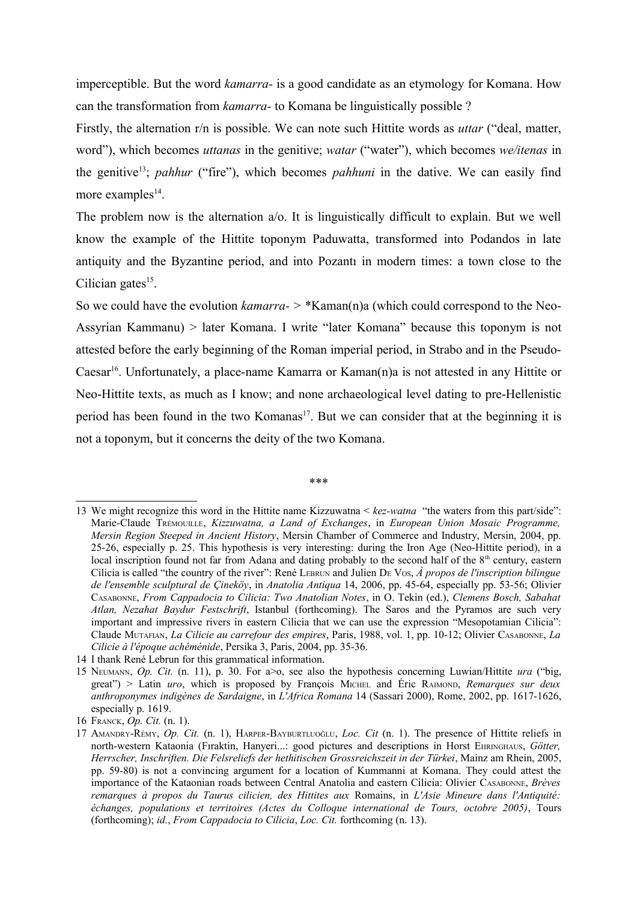imperceptible. But the word *kamarra-* is a good candidate as an etymology for Komana. How can the transformation from *kamarra-* to Komana be linguistically possible ?

Firstly, the alternation r/n is possible. We can note such Hittite words as *uttar* ("deal, matter, word"), which becomes *uttanas* in the genitive; *watar* ("water"), which becomes *we/itenas* in the genitive[13](#page-4-0); *pahhur* ("fire"), which becomes *pahhuni* in the dative. We can easily find more examples $^{14}$  $^{14}$  $^{14}$ .

The problem now is the alternation a/o. It is linguistically difficult to explain. But we well know the example of the Hittite toponym Paduwatta, transformed into Podandos in late antiquity and the Byzantine period, and into Pozantı in modern times: a town close to the Cilician gates $15$ .

So we could have the evolution *kamarra- >* \*Kaman(n)a (which could correspond to the Neo-Assyrian Kammanu) > later Komana. I write "later Komana" because this toponym is not attested before the early beginning of the Roman imperial period, in Strabo and in the Pseudo-Caesar<sup>[16](#page-4-3)</sup>. Unfortunately, a place-name Kamarra or Kaman(n)a is not attested in any Hittite or Neo-Hittite texts, as much as I know; and none archaeological level dating to pre-Hellenistic period has been found in the two Komanas<sup>[17](#page-4-4)</sup>. But we can consider that at the beginning it is not a toponym, but it concerns the deity of the two Komana.

\*\*\*

<span id="page-4-0"></span><sup>13</sup> We might recognize this word in the Hittite name Kizzuwatna < *kez-watna* "the waters from this part/side": Marie-Claude TRÉMOUILLE, *Kizzuwatna, a Land of Exchanges*, in *European Union Mosaic Programme, Mersin Region Steeped in Ancient History*, Mersin Chamber of Commerce and Industry, Mersin, 2004, pp. 25-26, especially p. 25. This hypothesis is very interesting: during the Iron Age (Neo-Hittite period), in a local inscription found not far from Adana and dating probably to the second half of the 8<sup>th</sup> century, eastern Cilicia is called "the country of the river": René LEBRUN and Julien DE VOS, *À propos de l'inscription bilingue de l'ensemble sculptural de Çineköy*, in *Anatolia Antiqua* 14, 2006, pp. 45-64, especially pp. 53-56; Olivier CASABONNE, *From Cappadocia to Cilicia: Two Anatolian Notes*, in O. Tekin (ed.), *Clemens Bosch, Sabahat Atlan, Nezahat Baydur Festschrift*, Istanbul (forthcoming). The Saros and the Pyramos are such very important and impressive rivers in eastern Cilicia that we can use the expression "Mesopotamian Cilicia": Claude MUTAFIAN, *La Cilicie au carrefour des empires*, Paris, 1988, vol. 1, pp. 10-12; Olivier CASABONNE, *La Cilicie à l'époque achéménide*, Persika 3, Paris, 2004, pp. 35-36.

<span id="page-4-1"></span><sup>14</sup> I thank René Lebrun for this grammatical information.

<span id="page-4-2"></span><sup>15</sup> NEUMANN, *Op. Cit.* (n. 11), p. 30. For a>o, see also the hypothesis concerning Luwian/Hittite *ura* ("big, great") > Latin *uro*, which is proposed by François MICHEL and Éric RAIMOND, *Remarques sur deux anthroponymes indigènes de Sardaigne*, in *L'Africa Romana* 14 (Sassari 2000), Rome, 2002, pp. 1617-1626, especially p. 1619.

<span id="page-4-3"></span><sup>16</sup> FRANCK, *Op. Cit.* (n. 1).

<span id="page-4-4"></span><sup>17</sup> AMANDRY-RÉMY, *Op. Cit.* (n. 1), HARPER-BAYBURTLUOĞLU, *Loc. Cit* (n. 1). The presence of Hittite reliefs in north-western Kataonia (Fıraktin, Hanyeri...: good pictures and descriptions in Horst EHRINGHAUS, *Götter, Herrscher, Inschriften. Die Felsreliefs der hethitischen Grossreichszeit in der Türkei*, Mainz am Rhein, 2005, pp. 59-80) is not a convincing argument for a location of Kummanni at Komana. They could attest the importance of the Kataonian roads between Central Anatolia and eastern Cilicia: Olivier CASABONNE, *Brèves remarques à propos du Taurus cilicien, des Hittites aux* Romains, in *L'Asie Mineure dans l'Antiquité: échanges, populations et territoires (Actes du Colloque international de Tours, octobre 2005)*, Tours (forthcoming); *id.*, *From Cappadocia to Cilicia*, *Loc. Cit.* forthcoming (n. 13).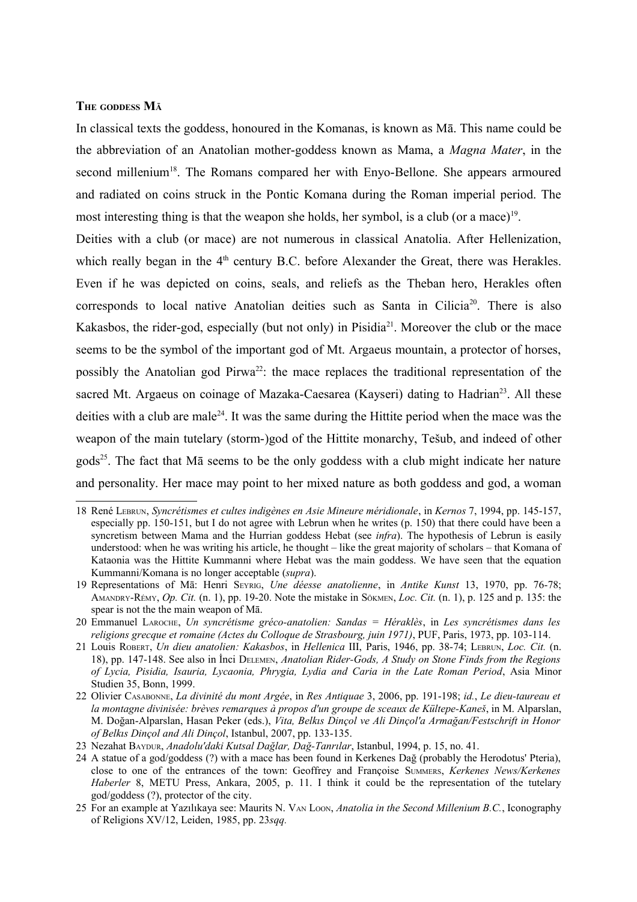## **THE GODDESS M<sup>Ā</sup>**

In classical texts the goddess, honoured in the Komanas, is known as Mā. This name could be the abbreviation of an Anatolian mother-goddess known as Mama, a *Magna Mater*, in the second millenium<sup>[18](#page-5-0)</sup>. The Romans compared her with Enyo-Bellone. She appears armoured and radiated on coins struck in the Pontic Komana during the Roman imperial period. The most interesting thing is that the weapon she holds, her symbol, is a club (or a mace)<sup>[19](#page-5-1)</sup>.

Deities with a club (or mace) are not numerous in classical Anatolia. After Hellenization, which really began in the  $4<sup>th</sup>$  century B.C. before Alexander the Great, there was Herakles. Even if he was depicted on coins, seals, and reliefs as the Theban hero, Herakles often corresponds to local native Anatolian deities such as Santa in Cilicia<sup>[20](#page-5-2)</sup>. There is also Kakasbos, the rider-god, especially (but not only) in Pisidia<sup>[21](#page-5-3)</sup>. Moreover the club or the mace seems to be the symbol of the important god of Mt. Argaeus mountain, a protector of horses, possibly the Anatolian god Pirwa<sup>[22](#page-5-4)</sup>: the mace replaces the traditional representation of the sacred Mt. Argaeus on coinage of Mazaka-Caesarea (Kayseri) dating to Hadrian<sup>[23](#page-5-5)</sup>. All these deities with a club are male<sup>[24](#page-5-6)</sup>. It was the same during the Hittite period when the mace was the weapon of the main tutelary (storm-)god of the Hittite monarchy, Tešub, and indeed of other gods<sup>[25](#page-5-7)</sup>. The fact that M $\bar{a}$  seems to be the only goddess with a club might indicate her nature and personality. Her mace may point to her mixed nature as both goddess and god, a woman

<span id="page-5-0"></span><sup>18</sup> René LEBRUN, *Syncrétismes et cultes indigènes en Asie Mineure méridionale*, in *Kernos* 7, 1994, pp. 145-157, especially pp. 150-151, but I do not agree with Lebrun when he writes (p. 150) that there could have been a syncretism between Mama and the Hurrian goddess Hebat (see *infra*). The hypothesis of Lebrun is easily understood: when he was writing his article, he thought – like the great majority of scholars – that Komana of Kataonia was the Hittite Kummanni where Hebat was the main goddess. We have seen that the equation Kummanni/Komana is no longer acceptable (*supra*).

<span id="page-5-1"></span><sup>19</sup> Representations of Mā: Henri SEYRIG, *Une déesse anatolienne*, in *Antike Kunst* 13, 1970, pp. 76-78; AMANDRY-RÉMY, *Op. Cit.* (n. 1), pp. 19-20. Note the mistake in SÖKMEN, *Loc. Cit.* (n. 1), p. 125 and p. 135: the spear is not the the main weapon of Mā.

<span id="page-5-2"></span><sup>20</sup> Emmanuel LAROCHE, *Un syncrétisme gréco-anatolien: Sandas = Héraklès*, in *Les syncrétismes dans les religions grecque et romaine (Actes du Colloque de Strasbourg, juin 1971)*, PUF, Paris, 1973, pp. 103-114.

<span id="page-5-3"></span><sup>21</sup> Louis ROBERT, *Un dieu anatolien: Kakasbos*, in *Hellenica* III, Paris, 1946, pp. 38-74; LEBRUN, *Loc. Cit.* (n. 18), pp. 147-148. See also in İnci DELEMEN, *Anatolian Rider-Gods, A Study on Stone Finds from the Regions of Lycia, Pisidia, Isauria, Lycaonia, Phrygia, Lydia and Caria in the Late Roman Period*, Asia Minor Studien 35, Bonn, 1999.

<span id="page-5-4"></span><sup>22</sup> Olivier CASABONNE, *La divinité du mont Argée*, in *Res Antiquae* 3, 2006, pp. 191-198; *id.*, *Le dieu-taureau et la montagne divinisée: brèves remarques à propos d'un groupe de sceaux de Kültepe-Kaneš*, in M. Alparslan, M. Doğan-Alparslan, Hasan Peker (eds.), *Vita, Belkıs Dinçol ve Ali Dinçol'a Armağan/Festschrift in Honor of Belkıs Dinçol and Ali Dinçol*, Istanbul, 2007, pp. 133-135.

<span id="page-5-5"></span><sup>23</sup> Nezahat BAYDUR, *Anadolu'daki Kutsal Dağlar, Dağ-Tanrılar*, Istanbul, 1994, p. 15, no. 41.

<span id="page-5-6"></span><sup>24</sup> A statue of a god/goddess (?) with a mace has been found in Kerkenes Dağ (probably the Herodotus' Pteria), close to one of the entrances of the town: Geoffrey and Françoise SUMMERS, *Kerkenes News/Kerkenes Haberler* 8, METU Press, Ankara, 2005, p. 11. I think it could be the representation of the tutelary god/goddess (?), protector of the city.

<span id="page-5-7"></span><sup>25</sup> For an example at Yazılıkaya see: Maurits N. VAN LOON, *Anatolia in the Second Millenium B.C.*, Iconography of Religions XV/12, Leiden, 1985, pp. 23*sqq.*